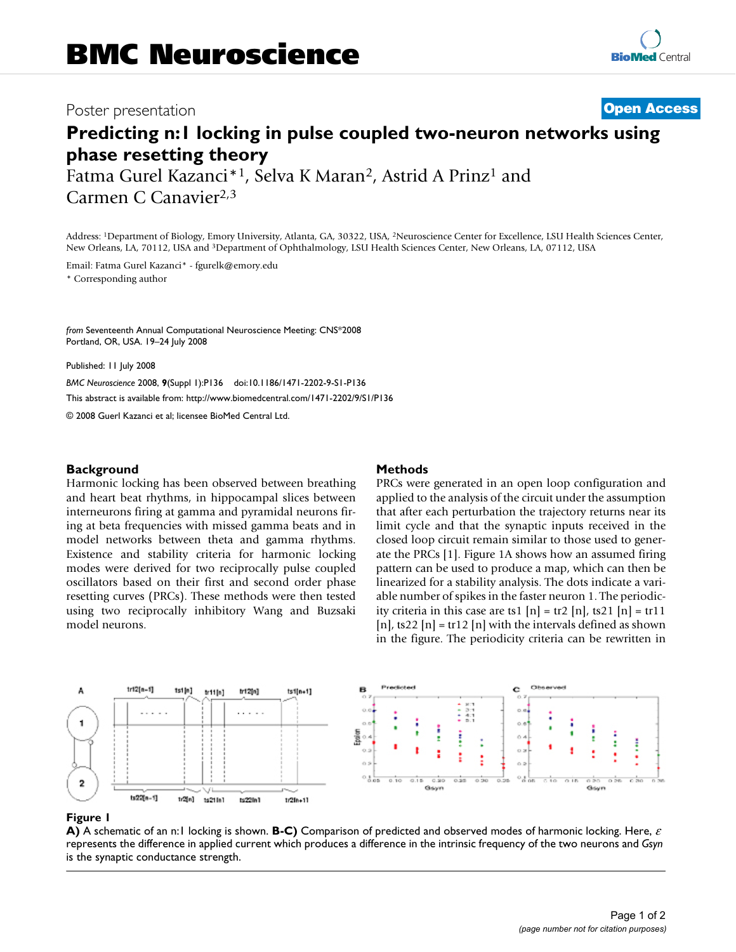## Poster presentation **Contract Contract Contract Contract Contract Contract Contract Contract Contract Contract Contract Contract Contract Contract Contract Contract Contract Contract Contract Contract Contract Contract Con**

# **Predicting n:1 locking in pulse coupled two-neuron networks using phase resetting theory**

Fatma Gurel Kazanci\*<sup>1</sup>, Selva K Maran<sup>2</sup>, Astrid A Prinz<sup>1</sup> and Carmen C Canavier2,3

Address: 1Department of Biology, Emory University, Atlanta, GA, 30322, USA, 2Neuroscience Center for Excellence, LSU Health Sciences Center, New Orleans, LA, 70112, USA and 3Department of Ophthalmology, LSU Health Sciences Center, New Orleans, LA, 07112, USA

Email: Fatma Gurel Kazanci\* - fgurelk@emory.edu

\* Corresponding author

*from* Seventeenth Annual Computational Neuroscience Meeting: CNS\*2008 Portland, OR, USA. 19–24 July 2008

Published: 11 July 2008

*BMC Neuroscience* 2008, **9**(Suppl 1):P136 doi:10.1186/1471-2202-9-S1-P136

[This abstract is available from: http://www.biomedcentral.com/1471-2202/9/S1/P136](http://www.biomedcentral.com/1471-2202/9/S1/P136)

© 2008 Guerl Kazanci et al; licensee BioMed Central Ltd.

### **Background**

Harmonic locking has been observed between breathing and heart beat rhythms, in hippocampal slices between interneurons firing at gamma and pyramidal neurons firing at beta frequencies with missed gamma beats and in model networks between theta and gamma rhythms. Existence and stability criteria for harmonic locking modes were derived for two reciprocally pulse coupled oscillators based on their first and second order phase resetting curves (PRCs). These methods were then tested using two reciprocally inhibitory Wang and Buzsaki model neurons.

### **Methods**

PRCs were generated in an open loop configuration and applied to the analysis of the circuit under the assumption that after each perturbation the trajectory returns near its limit cycle and that the synaptic inputs received in the closed loop circuit remain similar to those used to generate the PRCs [1]. Figure 1A shows how an assumed firing pattern can be used to produce a map, which can then be linearized for a stability analysis. The dots indicate a variable number of spikes in the faster neuron 1. The periodicity criteria in this case are ts1  $[n] = \text{tr2} [n]$ , ts21  $[n] = \text{tr11}$ [n], ts22 [n] = tr12 [n] with the intervals defined as shown in the figure. The periodicity criteria can be rewritten in



#### **Figure 1**

**A)** A schematic of an n:1 locking is shown. **B-C)** Comparison of predicted and observed modes of harmonic locking. Here, <sup>ε</sup> represents the difference in applied current which produces a difference in the intrinsic frequency of the two neurons and *Gsyn*  is the synaptic conductance strength.